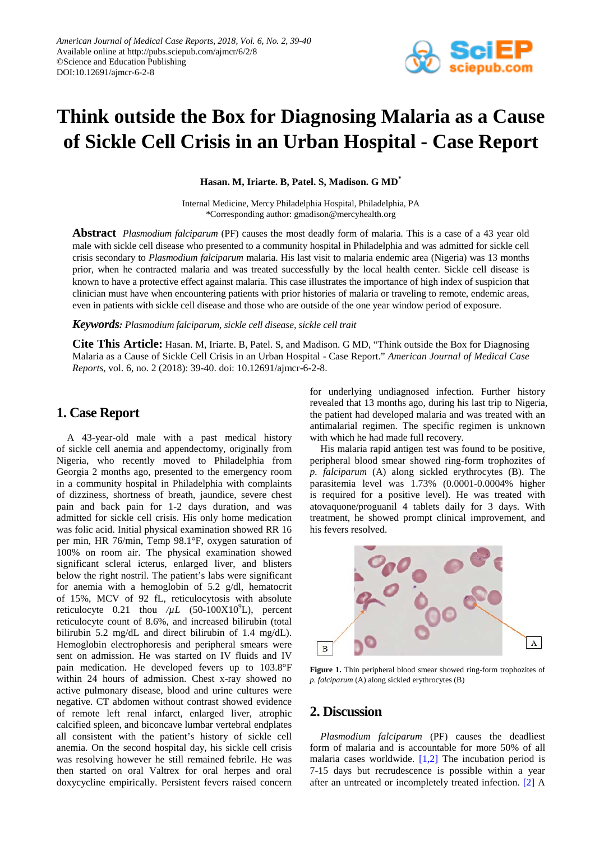

# **Think outside the Box for Diagnosing Malaria as a Cause of Sickle Cell Crisis in an Urban Hospital - Case Report**

**Hasan. M, Iriarte. B, Patel. S, Madison. G MD\***

Internal Medicine, Mercy Philadelphia Hospital, Philadelphia, PA \*Corresponding author: gmadison@mercyhealth.org

**Abstract** *Plasmodium falciparum* (PF) causes the most deadly form of malaria. This is a case of a 43 year old male with sickle cell disease who presented to a community hospital in Philadelphia and was admitted for sickle cell crisis secondary to *Plasmodium falciparum* malaria. His last visit to malaria endemic area (Nigeria) was 13 months prior, when he contracted malaria and was treated successfully by the local health center. Sickle cell disease is known to have a protective effect against malaria. This case illustrates the importance of high index of suspicion that clinician must have when encountering patients with prior histories of malaria or traveling to remote, endemic areas, even in patients with sickle cell disease and those who are outside of the one year window period of exposure.

#### *Keywords: Plasmodium falciparum, sickle cell disease, sickle cell trait*

**Cite This Article:** Hasan. M, Iriarte. B, Patel. S, and Madison. G MD, "Think outside the Box for Diagnosing Malaria as a Cause of Sickle Cell Crisis in an Urban Hospital - Case Report." *American Journal of Medical Case Reports*, vol. 6, no. 2 (2018): 39-40. doi: 10.12691/ajmcr-6-2-8.

## **1. Case Report**

A 43-year-old male with a past medical history of sickle cell anemia and appendectomy, originally from Nigeria, who recently moved to Philadelphia from Georgia 2 months ago, presented to the emergency room in a community hospital in Philadelphia with complaints of dizziness, shortness of breath, jaundice, severe chest pain and back pain for 1-2 days duration, and was admitted for sickle cell crisis. His only home medication was folic acid. Initial physical examination showed RR 16 per min, HR 76/min, Temp 98.1°F, oxygen saturation of 100% on room air. The physical examination showed significant scleral icterus, enlarged liver, and blisters below the right nostril. The patient's labs were significant for anemia with a hemoglobin of 5.2 g/dl, hematocrit of 15%, MCV of 92 fL, reticulocytosis with absolute reticulocyte  $0.21$  thou  $/\mu L$  (50-100X10<sup>9</sup>L), percent reticulocyte count of 8.6%, and increased bilirubin (total bilirubin 5.2 mg/dL and direct bilirubin of 1.4 mg/dL). Hemoglobin electrophoresis and peripheral smears were sent on admission. He was started on IV fluids and IV pain medication. He developed fevers up to 103.8°F within 24 hours of admission. Chest x-ray showed no active pulmonary disease, blood and urine cultures were negative. CT abdomen without contrast showed evidence of remote left renal infarct, enlarged liver, atrophic calcified spleen, and biconcave lumbar vertebral endplates all consistent with the patient's history of sickle cell anemia. On the second hospital day, his sickle cell crisis was resolving however he still remained febrile. He was then started on oral Valtrex for oral herpes and oral doxycycline empirically. Persistent fevers raised concern for underlying undiagnosed infection. Further history revealed that 13 months ago, during his last trip to Nigeria, the patient had developed malaria and was treated with an antimalarial regimen. The specific regimen is unknown with which he had made full recovery.

His malaria rapid antigen test was found to be positive, peripheral blood smear showed ring-form trophozites of *p. falciparum* (A) along sickled erythrocytes (B). The parasitemia level was 1.73% (0.0001-0.0004% higher is required for a positive level). He was treated with atovaquone/proguanil 4 tablets daily for 3 days. With treatment, he showed prompt clinical improvement, and his fevers resolved.



**Figure 1.** Thin peripheral blood smear showed ring-form trophozites of *p. falciparum* (A) along sickled erythrocytes (B)

#### **2. Discussion**

*Plasmodium falciparum* (PF) causes the deadliest form of malaria and is accountable for more 50% of all malaria cases worldwide.  $[1,2]$  The incubation period is 7-15 days but recrudescence is possible within a year after an untreated or incompletely treated infection. [\[2\]](#page-1-1) A